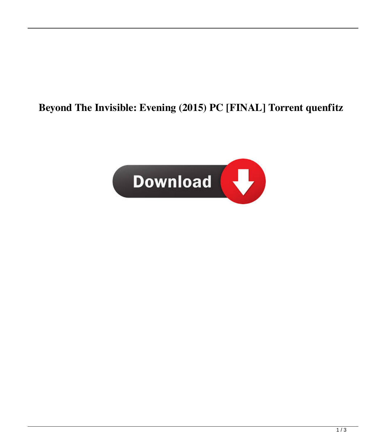## **Beyond The Invisible: Evening (2015) PC [FINAL] Torrent quenfitz**

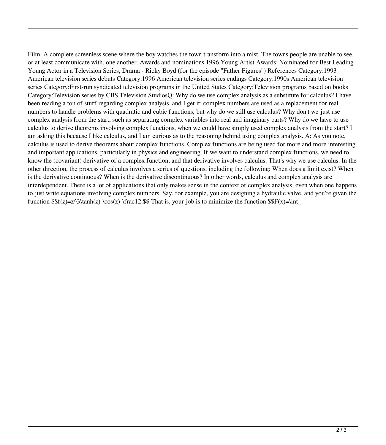Film: A complete screenless scene where the boy watches the town transform into a mist. The towns people are unable to see, or at least communicate with, one another. Awards and nominations 1996 Young Artist Awards: Nominated for Best Leading Young Actor in a Television Series, Drama - Ricky Boyd (for the episode "Father Figures") References Category:1993 American television series debuts Category:1996 American television series endings Category:1990s American television series Category:First-run syndicated television programs in the United States Category:Television programs based on books Category:Television series by CBS Television StudiosQ: Why do we use complex analysis as a substitute for calculus? I have been reading a ton of stuff regarding complex analysis, and I get it: complex numbers are used as a replacement for real numbers to handle problems with quadratic and cubic functions, but why do we still use calculus? Why don't we just use complex analysis from the start, such as separating complex variables into real and imaginary parts? Why do we have to use calculus to derive theorems involving complex functions, when we could have simply used complex analysis from the start? I am asking this because I like calculus, and I am curious as to the reasoning behind using complex analysis. A: As you note, calculus is used to derive theorems about complex functions. Complex functions are being used for more and more interesting and important applications, particularly in physics and engineering. If we want to understand complex functions, we need to know the (covariant) derivative of a complex function, and that derivative involves calculus. That's why we use calculus. In the other direction, the process of calculus involves a series of questions, including the following: When does a limit exist? When is the derivative continuous? When is the derivative discontinuous? In other words, calculus and complex analysis are interdependent. There is a lot of applications that only makes sense in the context of complex analysis, even when one happens to just write equations involving complex numbers. Say, for example, you are designing a hydraulic valve, and you're given the function  $\frac{s}{z}=\frac{\gamma_3\tanh(z)-\cos(z)-\frac{1}{2.5}$  That is, your job is to minimize the function  $\frac{s}{r}(x)=\int_0^x t^2 \, ds$